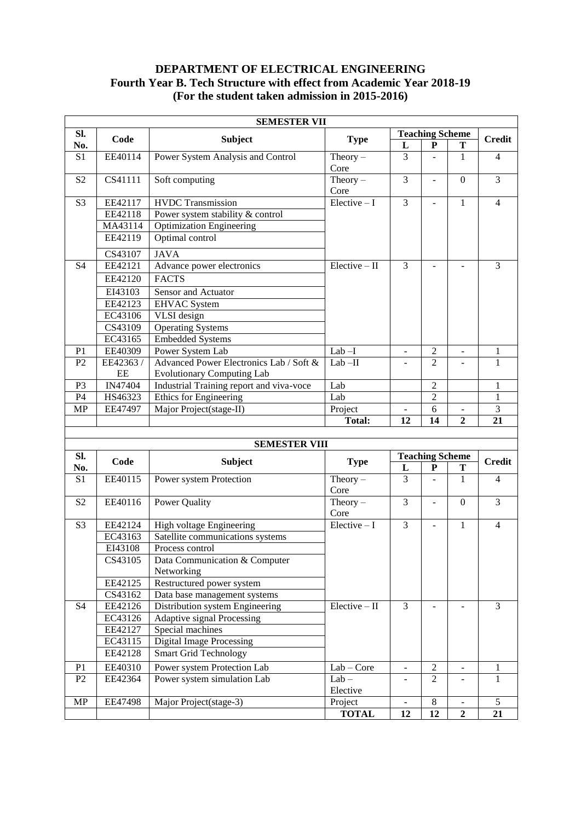# **DEPARTMENT OF ELECTRICAL ENGINEERING Fourth Year B. Tech Structure with effect from Academic Year 2018-19 (For the student taken admission in 2015-2016)**

| <b>SEMESTER VII</b> |          |                                                                 |                         |                          |                          |                                            |                |
|---------------------|----------|-----------------------------------------------------------------|-------------------------|--------------------------|--------------------------|--------------------------------------------|----------------|
| SI.                 |          |                                                                 |                         | <b>Teaching Scheme</b>   |                          |                                            |                |
| No.                 | Code     | <b>Subject</b>                                                  | <b>Type</b>             | L                        | P                        | Т                                          | <b>Credit</b>  |
| S1                  | EE40114  | Power System Analysis and Control                               | Theory $-$              | 3                        |                          | 1                                          | $\overline{4}$ |
|                     |          |                                                                 | Core                    |                          |                          |                                            |                |
| S <sub>2</sub>      | CS41111  | Soft computing                                                  | Theory $-$              | $\overline{3}$           | $\blacksquare$           | $\boldsymbol{0}$                           | $\overline{3}$ |
|                     |          |                                                                 | Core                    |                          |                          |                                            |                |
| S <sub>3</sub>      | EE42117  | <b>HVDC</b> Transmission                                        | $Elective-I$            | $\overline{3}$           | ÷                        | $\mathbf{1}$                               | $\overline{4}$ |
|                     | EE42118  | Power system stability & control                                |                         |                          |                          |                                            |                |
|                     | MA43114  | <b>Optimization Engineering</b>                                 |                         |                          |                          |                                            |                |
|                     | EE42119  | Optimal control                                                 |                         |                          |                          |                                            |                |
|                     | CS43107  | <b>JAVA</b>                                                     |                         |                          |                          |                                            |                |
| S <sub>4</sub>      | EE42121  | Advance power electronics                                       | $Elective - II$         | 3                        |                          |                                            | 3              |
|                     | EE42120  | <b>FACTS</b>                                                    |                         |                          |                          |                                            |                |
|                     | EI43103  | Sensor and Actuator                                             |                         |                          |                          |                                            |                |
|                     | EE42123  | <b>EHVAC</b> System                                             |                         |                          |                          |                                            |                |
|                     | EC43106  | VLSI design                                                     |                         |                          |                          |                                            |                |
|                     | CS43109  | <b>Operating Systems</b>                                        |                         |                          |                          |                                            |                |
|                     | EC43165  | <b>Embedded Systems</b>                                         |                         |                          |                          |                                            |                |
| P <sub>1</sub>      | EE40309  | Power System Lab                                                | $Lab-I$                 | $\overline{\phantom{a}}$ | $\overline{2}$           | $\frac{1}{2}$                              | 1              |
| P <sub>2</sub>      | EE42363/ | Advanced Power Electronics Lab / Soft &                         | $Lab-II$                | $\blacksquare$           | $\overline{2}$           |                                            | $\mathbf{1}$   |
|                     | EE       | <b>Evolutionary Computing Lab</b>                               |                         |                          |                          |                                            |                |
| P <sub>3</sub>      | IN47404  | Industrial Training report and viva-voce                        | Lab                     |                          | $\mathfrak{2}$           |                                            | 1              |
| P4                  | HS46323  | Ethics for Engineering                                          | Lab                     |                          | $\mathfrak{2}$           |                                            | 1              |
| <b>MP</b>           | EE47497  | Major Project(stage-II)                                         | Project                 | $\overline{\phantom{a}}$ | 6                        | $\qquad \qquad \blacksquare$               | $\mathfrak{Z}$ |
|                     |          |                                                                 | <b>Total:</b>           | 12                       | 14                       | $\mathbf{2}$                               | 21             |
|                     |          |                                                                 |                         |                          |                          |                                            |                |
|                     |          |                                                                 |                         |                          |                          |                                            |                |
|                     |          | <b>SEMESTER VIII</b>                                            |                         |                          |                          |                                            |                |
| SI.                 | Code     | <b>Subject</b>                                                  |                         |                          | <b>Teaching Scheme</b>   |                                            | <b>Credit</b>  |
| No.                 |          |                                                                 | <b>Type</b>             | L                        | ${\bf P}$                | Т                                          |                |
| S1                  | EE40115  | Power system Protection                                         | $Theory -$              | 3                        |                          | 1                                          | $\overline{4}$ |
|                     |          |                                                                 | Core                    |                          |                          |                                            |                |
| S <sub>2</sub>      | EE40116  | Power Quality                                                   | Theory $-$              | $\overline{3}$           | $\overline{\phantom{a}}$ | $\boldsymbol{0}$                           | $\overline{3}$ |
|                     |          |                                                                 | Core                    |                          | $\overline{a}$           |                                            |                |
| S <sub>3</sub>      | EE42124  | High voltage Engineering                                        | $Elective-I$            | 3                        |                          | $\mathbf{1}$                               | $\overline{4}$ |
|                     | EC43163  | Satellite communications systems                                |                         |                          |                          |                                            |                |
|                     | EI43108  | Process control                                                 |                         |                          |                          |                                            |                |
|                     | CS43105  | Data Communication & Computer<br>Networking                     |                         |                          |                          |                                            |                |
|                     | EE42125  | Restructured power system                                       |                         |                          |                          |                                            |                |
|                     | CS43162  |                                                                 |                         |                          |                          |                                            |                |
| S4                  | EE42126  | Data base management systems<br>Distribution system Engineering | $Elective - II$         | 3                        |                          |                                            | 3              |
|                     | EC43126  | Adaptive signal Processing                                      |                         |                          |                          |                                            |                |
|                     | EE42127  | Special machines                                                |                         |                          |                          |                                            |                |
|                     | EC43115  | <b>Digital Image Processing</b>                                 |                         |                          |                          |                                            |                |
|                     | EE42128  | <b>Smart Grid Technology</b>                                    |                         |                          |                          |                                            |                |
| P <sub>1</sub>      | EE40310  | Power system Protection Lab                                     | $Lab - Core$            | $\equiv$                 | $\overline{2}$           | ÷,                                         | 1              |
| P2                  | EE42364  | Power system simulation Lab                                     | $Lab -$                 | $\overline{\phantom{a}}$ | $\overline{2}$           |                                            | 1              |
|                     |          |                                                                 | Elective                |                          |                          |                                            |                |
| <b>MP</b>           | EE47498  | Major Project(stage-3)                                          | Project<br><b>TOTAL</b> | $\blacksquare$<br>12     | $8\,$<br>12              | $\overline{\phantom{a}}$<br>$\overline{2}$ | 5<br>21        |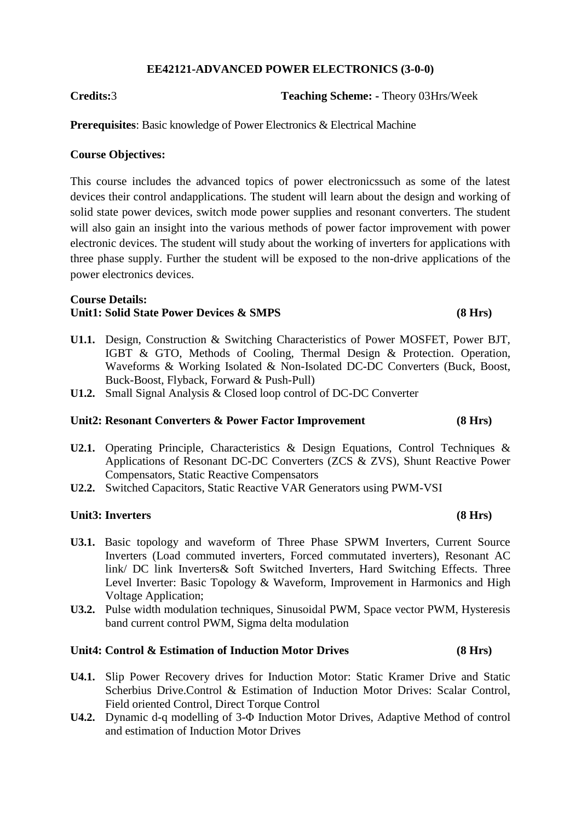## **EE42121-ADVANCED POWER ELECTRONICS (3-0-0)**

**Credits:**3 **Teaching Scheme: -** Theory 03Hrs/Week

**Prerequisites:** Basic knowledge of Power Electronics & Electrical Machine

## **Course Objectives:**

This course includes the advanced topics of power electronicssuch as some of the latest devices their control andapplications. The student will learn about the design and working of solid state power devices, switch mode power supplies and resonant converters. The student will also gain an insight into the various methods of power factor improvement with power electronic devices. The student will study about the working of inverters for applications with three phase supply. Further the student will be exposed to the non-drive applications of the power electronics devices.

### **Course Details: Unit1: Solid State Power Devices & SMPS (8 Hrs)**

- **U1.1.** Design, Construction & Switching Characteristics of Power MOSFET, Power BJT, IGBT & GTO, Methods of Cooling, Thermal Design & Protection. Operation, Waveforms & Working Isolated & Non-Isolated DC-DC Converters (Buck, Boost, Buck-Boost, Flyback, Forward & Push-Pull)
- **U1.2.** Small Signal Analysis & Closed loop control of DC-DC Converter

### **Unit2: Resonant Converters & Power Factor Improvement (8 Hrs)**

- **U2.1.** Operating Principle, Characteristics & Design Equations, Control Techniques & Applications of Resonant DC-DC Converters (ZCS & ZVS), Shunt Reactive Power Compensators, Static Reactive Compensators
- **U2.2.** Switched Capacitors, Static Reactive VAR Generators using PWM-VSI

### **Unit3: Inverters (8 Hrs)**

- **U3.1.** Basic topology and waveform of Three Phase SPWM Inverters, Current Source Inverters (Load commuted inverters, Forced commutated inverters), Resonant AC link/ DC link Inverters& Soft Switched Inverters, Hard Switching Effects. Three Level Inverter: Basic Topology & Waveform, Improvement in Harmonics and High Voltage Application;
- **U3.2.** Pulse width modulation techniques, Sinusoidal PWM, Space vector PWM, Hysteresis band current control PWM, Sigma delta modulation

## **Unit4: Control & Estimation of Induction Motor Drives (8 Hrs)**

- **U4.1.** Slip Power Recovery drives for Induction Motor: Static Kramer Drive and Static Scherbius Drive.Control & Estimation of Induction Motor Drives: Scalar Control, Field oriented Control, Direct Torque Control
- **U4.2.** Dynamic d-q modelling of 3-Φ Induction Motor Drives, Adaptive Method of control and estimation of Induction Motor Drives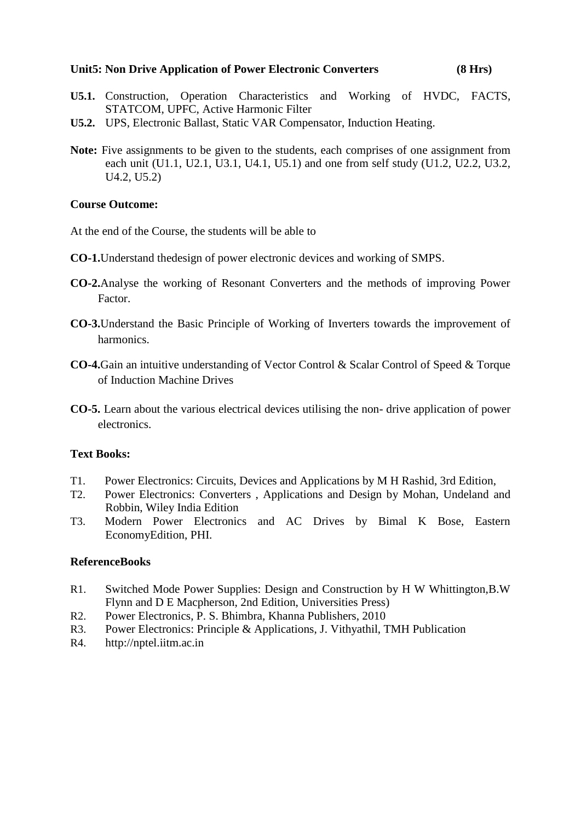## **Unit5: Non Drive Application of Power Electronic Converters (8 Hrs)**

- **U5.1.** Construction, Operation Characteristics and Working of HVDC, FACTS, STATCOM, UPFC, Active Harmonic Filter
- **U5.2.** UPS, Electronic Ballast, Static VAR Compensator, Induction Heating.
- **Note:** Five assignments to be given to the students, each comprises of one assignment from each unit (U1.1, U2.1, U3.1, U4.1, U5.1) and one from self study (U1.2, U2.2, U3.2, U4.2, U5.2)

## **Course Outcome:**

At the end of the Course, the students will be able to

- **CO-1.**Understand thedesign of power electronic devices and working of SMPS.
- **CO-2.**Analyse the working of Resonant Converters and the methods of improving Power Factor.
- **CO-3.**Understand the Basic Principle of Working of Inverters towards the improvement of harmonics.
- **CO-4.**Gain an intuitive understanding of Vector Control & Scalar Control of Speed & Torque of Induction Machine Drives
- **CO-5.** Learn about the various electrical devices utilising the non- drive application of power electronics.

## **Text Books:**

- T1. Power Electronics: Circuits, Devices and Applications by M H Rashid, 3rd Edition,
- T2. Power Electronics: Converters , Applications and Design by Mohan, Undeland and Robbin, Wiley India Edition
- T3. Modern Power Electronics and AC Drives by Bimal K Bose, Eastern EconomyEdition, PHI.

## **ReferenceBooks**

- R1. Switched Mode Power Supplies: Design and Construction by H W Whittington,B.W Flynn and D E Macpherson, 2nd Edition, Universities Press)
- R2. Power Electronics, P. S. Bhimbra, Khanna Publishers, 2010
- R3. Power Electronics: Principle & Applications, J. Vithyathil, TMH Publication
- R4. http://nptel.iitm.ac.in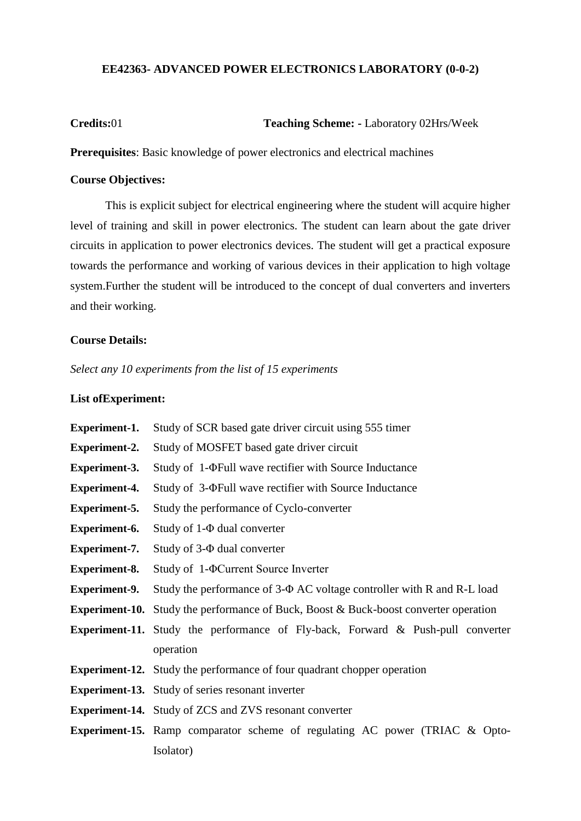## **EE42363- ADVANCED POWER ELECTRONICS LABORATORY (0-0-2)**

**Credits:**01 **Teaching Scheme: -** Laboratory 02Hrs/Week

**Prerequisites**: Basic knowledge of power electronics and electrical machines

## **Course Objectives:**

This is explicit subject for electrical engineering where the student will acquire higher level of training and skill in power electronics. The student can learn about the gate driver circuits in application to power electronics devices. The student will get a practical exposure towards the performance and working of various devices in their application to high voltage system.Further the student will be introduced to the concept of dual converters and inverters and their working.

### **Course Details:**

*Select any 10 experiments from the list of 15 experiments*

### **List ofExperiment:**

| <b>Experiment-1.</b> | Study of SCR based gate driver circuit using 555 timer                                      |  |
|----------------------|---------------------------------------------------------------------------------------------|--|
| <b>Experiment-2.</b> | Study of MOSFET based gate driver circuit                                                   |  |
| <b>Experiment-3.</b> | Study of 1- $\Phi$ Full wave rectifier with Source Inductance                               |  |
| <b>Experiment-4.</b> | Study of 3- $\Phi$ Full wave rectifier with Source Inductance                               |  |
| <b>Experiment-5.</b> | Study the performance of Cyclo-converter                                                    |  |
| <b>Experiment-6.</b> | Study of $1-\Phi$ dual converter                                                            |  |
| <b>Experiment-7.</b> | Study of $3-\Phi$ dual converter                                                            |  |
| <b>Experiment-8.</b> | Study of 1- $\Phi$ Current Source Inverter                                                  |  |
| <b>Experiment-9.</b> | Study the performance of 3- $\Phi$ AC voltage controller with R and R-L load                |  |
|                      | <b>Experiment-10.</b> Study the performance of Buck, Boost & Buck-boost converter operation |  |
|                      | <b>Experiment-11.</b> Study the performance of Fly-back, Forward & Push-pull converter      |  |
|                      | operation                                                                                   |  |
|                      | <b>Experiment-12.</b> Study the performance of four quadrant chopper operation              |  |
|                      | <b>Experiment-13.</b> Study of series resonant inverter                                     |  |
|                      | <b>Experiment-14.</b> Study of ZCS and ZVS resonant converter                               |  |
|                      | <b>Experiment-15.</b> Ramp comparator scheme of regulating AC power (TRIAC & Opto-          |  |
|                      | Isolator)                                                                                   |  |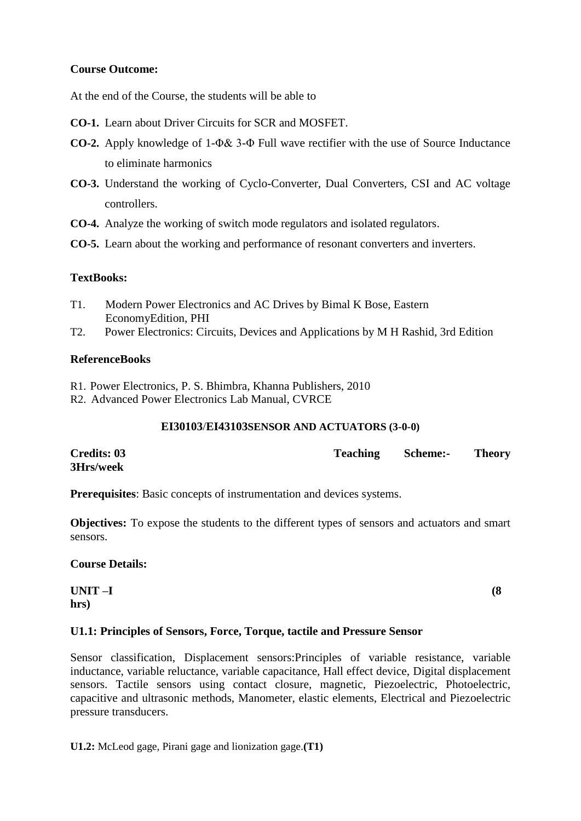## **Course Outcome:**

At the end of the Course, the students will be able to

- **CO-1.** Learn about Driver Circuits for SCR and MOSFET.
- **CO-2.** Apply knowledge of 1-Φ& 3-Φ Full wave rectifier with the use of Source Inductance to eliminate harmonics
- **CO-3.** Understand the working of Cyclo-Converter, Dual Converters, CSI and AC voltage controllers.
- **CO-4.** Analyze the working of switch mode regulators and isolated regulators.
- **CO-5.** Learn about the working and performance of resonant converters and inverters.

## **TextBooks:**

- T1. Modern Power Electronics and AC Drives by Bimal K Bose, Eastern EconomyEdition, PHI
- T2. Power Electronics: Circuits, Devices and Applications by M H Rashid, 3rd Edition

## **ReferenceBooks**

- R1. Power Electronics, P. S. Bhimbra, Khanna Publishers, 2010
- R2. Advanced Power Electronics Lab Manual, CVRCE

## **EI30103**/**EI43103SENSOR AND ACTUATORS (3-0-0)**

| <b>Credits: 03</b> | <b>Teaching</b> | <b>Scheme:-</b> | <b>Theory</b> |
|--------------------|-----------------|-----------------|---------------|
| 3Hrs/week          |                 |                 |               |

**Prerequisites**: Basic concepts of instrumentation and devices systems.

**Objectives:** To expose the students to the different types of sensors and actuators and smart sensors.

## **Course Details:**

**UNIT –I (8 hrs)**

## **U1.1: Principles of Sensors, Force, Torque, tactile and Pressure Sensor**

Sensor classification, Displacement sensors:Principles of variable resistance, variable inductance, variable reluctance, variable capacitance, Hall effect device, Digital displacement sensors. Tactile sensors using contact closure, magnetic, Piezoelectric, Photoelectric, capacitive and ultrasonic methods, Manometer, elastic elements, Electrical and Piezoelectric pressure transducers.

**U1.2:** McLeod gage, Pirani gage and lionization gage.**(T1)**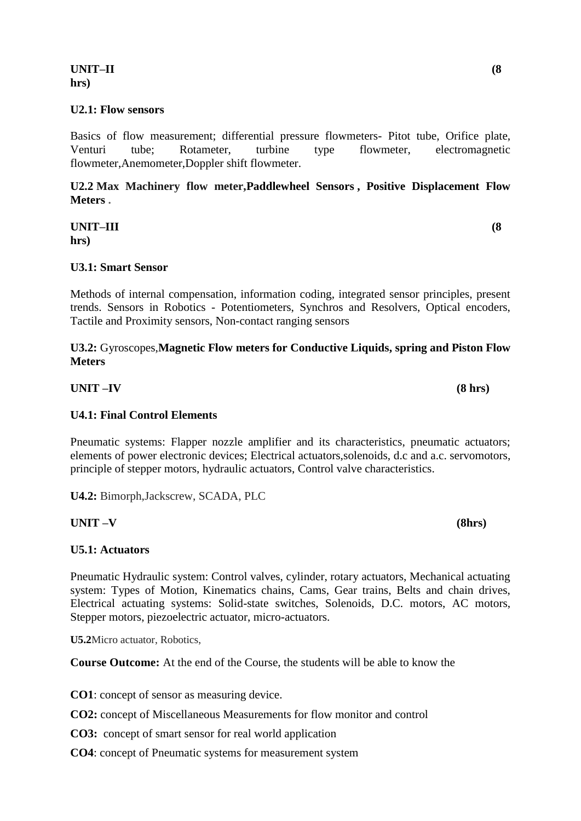## **UNIT–II (8 hrs)**

## **U2.1: Flow sensors**

Basics of flow measurement; differential pressure flowmeters- Pitot tube, Orifice plate, Venturi tube; Rotameter, turbine type flowmeter, electromagnetic flowmeter,Anemometer,Doppler shift flowmeter.

**U2.2 Max Machinery flow meter[,Paddlewheel Sensors](http://in.omega.com/subsection/paddlewheel-sensors-transmitters-sys.htmll) , [Positive Displacement Flow](http://in.omega.com/subsection/positive-displacement-flowmeters.html)  [Meters](http://in.omega.com/subsection/positive-displacement-flowmeters.html) .**

**UNIT–III (8 hrs)**

## **U3.1: Smart Sensor**

Methods of internal compensation, information coding, integrated sensor principles, present trends. Sensors in Robotics - Potentiometers, Synchros and Resolvers, Optical encoders, Tactile and Proximity sensors, Non-contact ranging sensors

## **U3.2:** Gyroscopes,**[Magnetic Flow meters for Conductive Liquids,](http://in.omega.com/section/magnetic-flow-meters.html) [spring and Piston Flow](http://in.omega.com/subsection/piston-type-flowmeters.html)  [Meters](http://in.omega.com/subsection/piston-type-flowmeters.html)**

**UNIT –IV (8 hrs)**

## **U4.1: Final Control Elements**

Pneumatic systems: Flapper nozzle amplifier and its characteristics, pneumatic actuators; elements of power electronic devices; Electrical actuators,solenoids, d.c and a.c. servomotors, principle of stepper motors, hydraulic actuators, Control valve characteristics.

**U4.2:** Bimorph,Jackscrew, SCADA, PLC

## **UNIT –V (8hrs)**

## **U5.1: Actuators**

Pneumatic Hydraulic system: Control valves, cylinder, rotary actuators, Mechanical actuating system: Types of Motion, Kinematics chains, Cams, Gear trains, Belts and chain drives, Electrical actuating systems: Solid-state switches, Solenoids, D.C. motors, AC motors, Stepper motors, piezoelectric actuator, micro-actuators.

**U5.2**Micro actuator, Robotics,

**Course Outcome:** At the end of the Course, the students will be able to know the

**CO1**: concept of sensor as measuring device.

- **CO2:** concept of Miscellaneous Measurements for flow monitor and control
- **CO3:** concept of smart sensor for real world application
- **CO4**: concept of Pneumatic systems for measurement system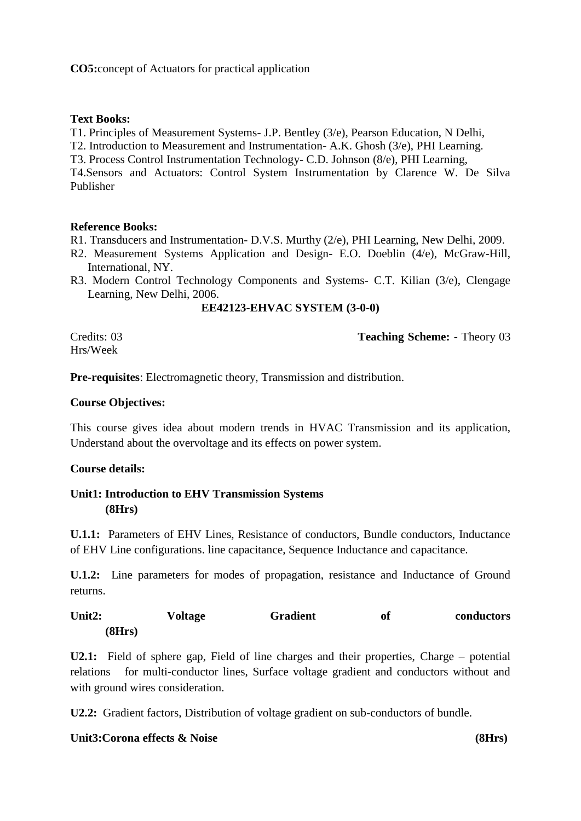**CO5:**concept of Actuators for practical application

## **Text Books:**

T1. Principles of Measurement Systems- J.P. Bentley (3/e), Pearson Education, N Delhi,

T2. Introduction to Measurement and Instrumentation- A.K. Ghosh (3/e), PHI Learning.

T3. Process Control Instrumentation Technology- C.D. Johnson (8/e), PHI Learning,

T4.Sensors and Actuators: Control System Instrumentation by Clarence W. De Silva Publisher

### **Reference Books:**

R1. Transducers and Instrumentation- D.V.S. Murthy (2/e), PHI Learning, New Delhi, 2009.

- R2. Measurement Systems Application and Design- E.O. Doeblin (4/e), McGraw-Hill, International, NY.
- R3. Modern Control Technology Components and Systems- C.T. Kilian (3/e), Clengage Learning, New Delhi, 2006.

### **EE42123-EHVAC SYSTEM (3-0-0)**

Hrs/Week

Credits: 03 **Teaching Scheme: -** Theory 03

**Pre-requisites**: Electromagnetic theory, Transmission and distribution.

## **Course Objectives:**

This course gives idea about modern trends in HVAC Transmission and its application, Understand about the overvoltage and its effects on power system.

## **Course details:**

## **Unit1: Introduction to EHV Transmission Systems (8Hrs)**

**U.1.1:** Parameters of EHV Lines, Resistance of conductors, Bundle conductors, Inductance of EHV Line configurations. line capacitance, Sequence Inductance and capacitance.

**U.1.2:** Line parameters for modes of propagation, resistance and Inductance of Ground returns.

Unit2: Voltage Gradient of conductors **(8Hrs)**

**U2.1:** Field of sphere gap, Field of line charges and their properties, Charge – potential relations for multi-conductor lines, Surface voltage gradient and conductors without and with ground wires consideration.

**U2.2:** Gradient factors, Distribution of voltage gradient on sub-conductors of bundle.

## **Unit3:Corona effects & Noise (8Hrs)**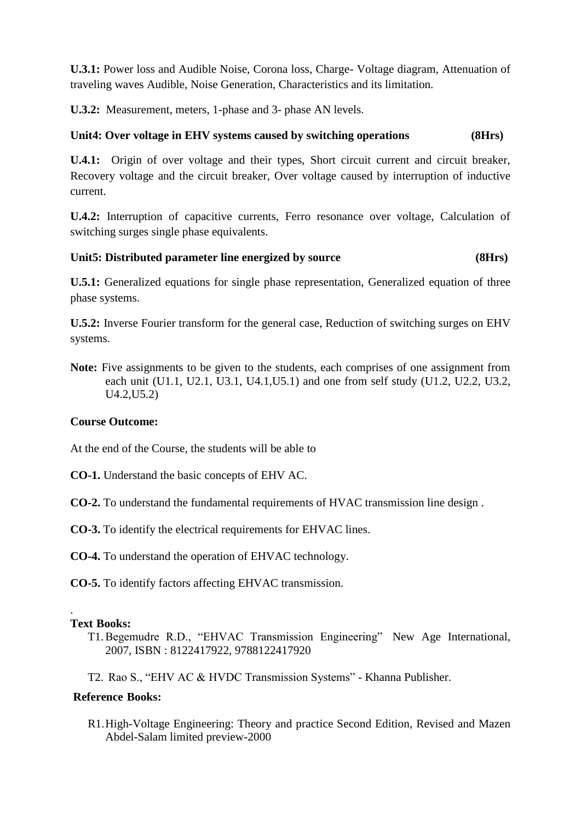**U.3.1:** Power loss and Audible Noise, Corona loss, Charge- Voltage diagram, Attenuation of traveling waves Audible, Noise Generation, Characteristics and its limitation.

**U.3.2:** Measurement, meters, 1-phase and 3- phase AN levels.

## **Unit4: Over voltage in EHV systems caused by switching operations (8Hrs)**

**U.4.1:** Origin of over voltage and their types, Short circuit current and circuit breaker, Recovery voltage and the circuit breaker, Over voltage caused by interruption of inductive current.

**U.4.2:** Interruption of capacitive currents, Ferro resonance over voltage, Calculation of switching surges single phase equivalents.

## **Unit5: Distributed parameter line energized by source (8Hrs)**

**U.5.1:** Generalized equations for single phase representation, Generalized equation of three phase systems.

**U.5.2:** Inverse Fourier transform for the general case, Reduction of switching surges on EHV systems.

**Note:** Five assignments to be given to the students, each comprises of one assignment from each unit (U1.1, U2.1, U3.1, U4.1,U5.1) and one from self study (U1.2, U2.2, U3.2, U4.2,U5.2)

## **Course Outcome:**

At the end of the Course, the students will be able to

- **CO-1.** Understand the basic concepts of EHV AC.
- **CO-2.** To understand the fundamental requirements of HVAC transmission line design .
- **CO-3.** To identify the electrical requirements for EHVAC lines.
- **CO-4.** To understand the operation of EHVAC technology.

**CO-5.** To identify factors affecting EHVAC transmission.

## **Text Books:**

.

T1.Begemudre R.D., "EHVAC Transmission Engineering" New Age International, 2007, ISBN : 8122417922, 9788122417920

T2. Rao S., "EHV AC & HVDC Transmission Systems" - Khanna Publisher.

## **Reference Books:**

R1.High-Voltage Engineering: Theory and practice Second Edition, Revised and Mazen Abdel-Salam limited preview-2000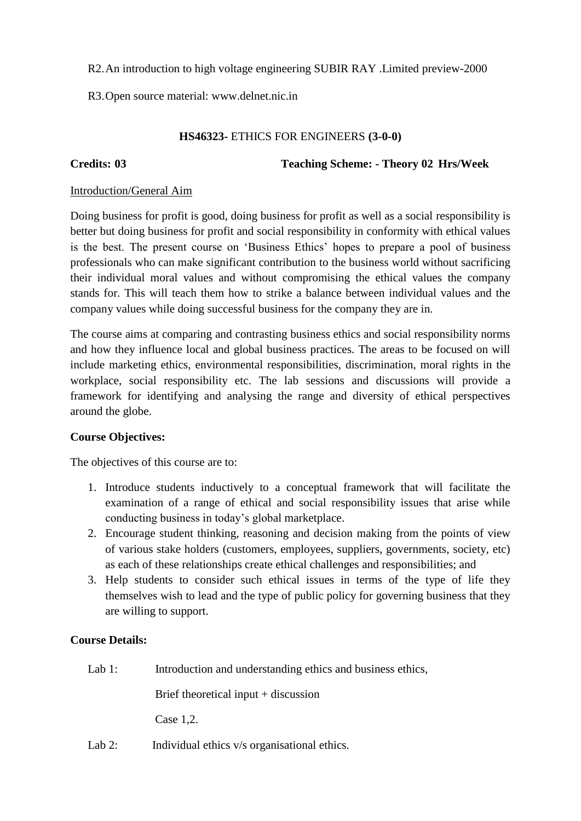R2.An introduction to high voltage engineering SUBIR RAY .Limited preview-2000

R3.Open source material: www.delnet.nic.in

# **HS46323-** ETHICS FOR ENGINEERS **(3-0-0)**

**Credits: 03 Teaching Scheme: - Theory 02 Hrs/Week**

# Introduction/General Aim

Doing business for profit is good, doing business for profit as well as a social responsibility is better but doing business for profit and social responsibility in conformity with ethical values is the best. The present course on "Business Ethics" hopes to prepare a pool of business professionals who can make significant contribution to the business world without sacrificing their individual moral values and without compromising the ethical values the company stands for. This will teach them how to strike a balance between individual values and the company values while doing successful business for the company they are in.

The course aims at comparing and contrasting business ethics and social responsibility norms and how they influence local and global business practices. The areas to be focused on will include marketing ethics, environmental responsibilities, discrimination, moral rights in the workplace, social responsibility etc. The lab sessions and discussions will provide a framework for identifying and analysing the range and diversity of ethical perspectives around the globe.

# **Course Objectives:**

The objectives of this course are to:

- 1. Introduce students inductively to a conceptual framework that will facilitate the examination of a range of ethical and social responsibility issues that arise while conducting business in today"s global marketplace.
- 2. Encourage student thinking, reasoning and decision making from the points of view of various stake holders (customers, employees, suppliers, governments, society, etc) as each of these relationships create ethical challenges and responsibilities; and
- 3. Help students to consider such ethical issues in terms of the type of life they themselves wish to lead and the type of public policy for governing business that they are willing to support.

# **Course Details:**

Lab 1: Introduction and understanding ethics and business ethics,

Brief theoretical input  $+$  discussion

Case 1,2.

Lab 2: Individual ethics v/s organisational ethics.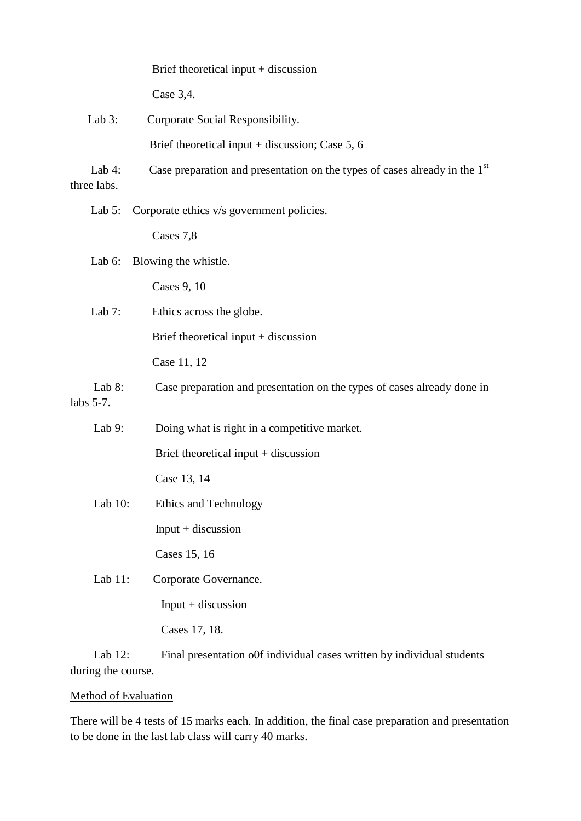|             |            | Brief theoretical input $+$ discussion                                                 |
|-------------|------------|----------------------------------------------------------------------------------------|
|             |            | Case 3,4.                                                                              |
|             | Lab $3$ :  | Corporate Social Responsibility.                                                       |
|             |            | Brief theoretical input $+$ discussion; Case 5, 6                                      |
| three labs. | Lab $4$ :  | Case preparation and presentation on the types of cases already in the 1 <sup>st</sup> |
|             | Lab $5$ :  | Corporate ethics v/s government policies.                                              |
|             |            | Cases 7,8                                                                              |
|             | Lab $6$ :  | Blowing the whistle.                                                                   |
|             |            | Cases 9, 10                                                                            |
|             | Lab $7:$   | Ethics across the globe.                                                               |
|             |            | Brief theoretical input $+$ discussion                                                 |
|             |            | Case 11, 12                                                                            |
| labs 5-7.   | Lab $8$ :  | Case preparation and presentation on the types of cases already done in                |
|             | Lab $9:$   | Doing what is right in a competitive market.                                           |
|             |            | Brief theoretical input $+$ discussion                                                 |
|             |            | Case 13, 14                                                                            |
|             | Lab $10$ : | <b>Ethics and Technology</b>                                                           |
|             |            | $Input + discussion$                                                                   |
|             |            | Cases 15, 16                                                                           |
|             | Lab $11$ : | Corporate Governance.                                                                  |
|             |            | $Input + discussion$                                                                   |
|             |            | Cases 17, 18.                                                                          |
|             |            |                                                                                        |

Lab 12: Final presentation of individual cases written by individual students during the course.

# Method of Evaluation

There will be 4 tests of 15 marks each. In addition, the final case preparation and presentation to be done in the last lab class will carry 40 marks.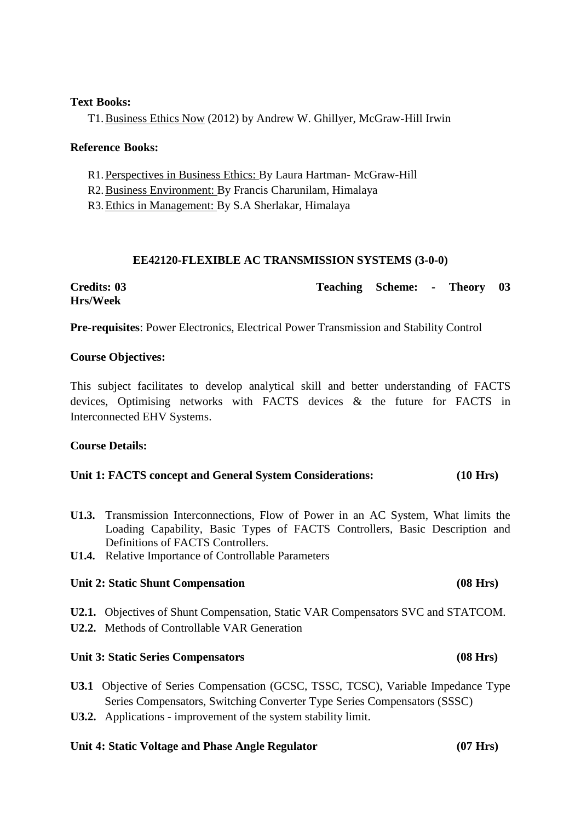### **Text Books:**

T1.Business Ethics Now (2012) by Andrew W. Ghillyer, McGraw-Hill Irwin

## **Reference Books:**

R1. Perspectives in Business Ethics: By Laura Hartman- McGraw-Hill

R2.Business Environment: By Francis Charunilam, Himalaya

R3.Ethics in Management: By S.A Sherlakar, Himalaya

## **EE42120-FLEXIBLE AC TRANSMISSION SYSTEMS (3-0-0)**

**Credits: 03 Teaching Scheme: - Theory 03 Hrs/Week**

**Pre-requisites**: Power Electronics, Electrical Power Transmission and Stability Control

## **Course Objectives:**

This subject facilitates to develop analytical skill and better understanding of FACTS devices, Optimising networks with FACTS devices & the future for FACTS in Interconnected EHV Systems.

## **Course Details:**

## **Unit 1: FACTS concept and General System Considerations: (10 Hrs)**

- **U1.3.** Transmission Interconnections, Flow of Power in an AC System, What limits the Loading Capability, Basic Types of FACTS Controllers, Basic Description and Definitions of FACTS Controllers.
- **U1.4.** Relative Importance of Controllable Parameters

## **Unit 2: Static Shunt Compensation (08 Hrs)**

**U2.1.** Objectives of Shunt Compensation, Static VAR Compensators SVC and STATCOM.

**U2.2.** Methods of Controllable VAR Generation

## **Unit 3: Static Series Compensators (08 Hrs)**

- **U3.1** Objective of Series Compensation (GCSC, TSSC, TCSC), Variable Impedance Type Series Compensators, Switching Converter Type Series Compensators (SSSC)
- **U3.2.** Applications improvement of the system stability limit.

## **Unit 4: Static Voltage and Phase Angle Regulator (07 Hrs)**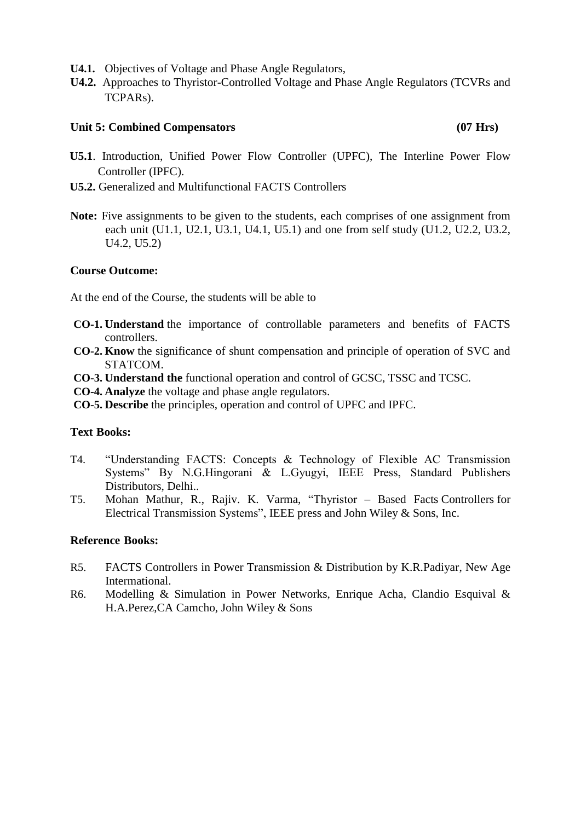- **U4.1.** Objectives of Voltage and Phase Angle Regulators,
- **U4.2.** Approaches to Thyristor-Controlled Voltage and Phase Angle Regulators (TCVRs and TCPARs).

## **Unit 5: Combined Compensators (07 Hrs)**

- **U5.1**. Introduction, Unified Power Flow Controller (UPFC), The Interline Power Flow Controller (IPFC).
- **U5.2.** Generalized and Multifunctional FACTS Controllers
- **Note:** Five assignments to be given to the students, each comprises of one assignment from each unit (U1.1, U2.1, U3.1, U4.1, U5.1) and one from self study (U1.2, U2.2, U3.2, U4.2, U5.2)

### **Course Outcome:**

At the end of the Course, the students will be able to

- **CO-1. Understand** the importance of controllable parameters and benefits of FACTS controllers.
- **CO-2. Know** the significance of shunt compensation and principle of operation of SVC and STATCOM.
- **CO-3. Understand the** functional operation and control of GCSC, TSSC and TCSC.
- **CO-4. Analyze** the voltage and phase angle regulators.
- **CO-5. Describe** the principles, operation and control of UPFC and IPFC.

## **Text Books:**

- T4. "Understanding FACTS: Concepts & Technology of Flexible AC Transmission Systems" By N.G.Hingorani & L.Gyugyi, IEEE Press, Standard Publishers Distributors, Delhi..
- T5. Mohan Mathur, R., Rajiv. K. Varma, "Thyristor Based Facts Controllers for Electrical Transmission Systems", IEEE press and John Wiley & Sons, Inc.

### **Reference Books:**

- R5. FACTS Controllers in Power Transmission & Distribution by K.R.Padiyar, New Age Intermational.
- R6. Modelling & Simulation in Power Networks, Enrique Acha, Clandio Esquival & H.A.Perez,CA Camcho, John Wiley & Sons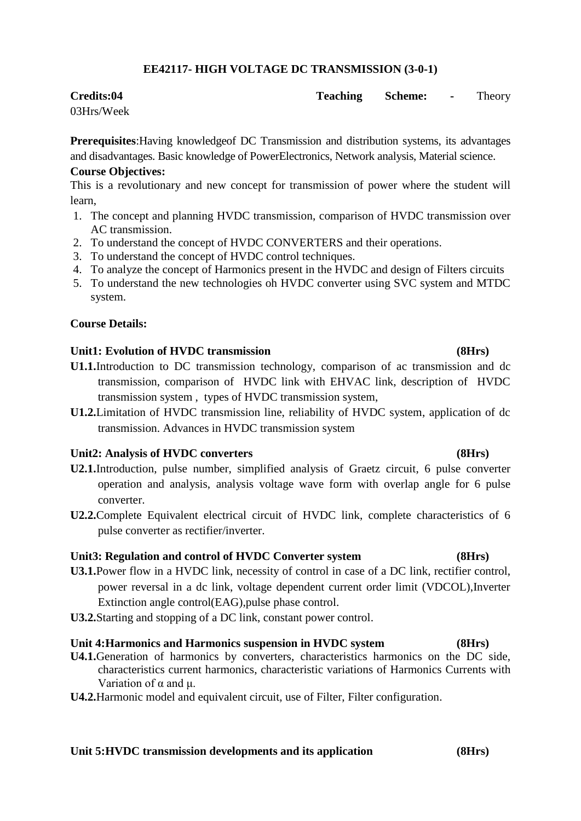## **EE42117- HIGH VOLTAGE DC TRANSMISSION (3-0-1)**

## **Credits:04 Teaching Scheme: -** Theory

03Hrs/Week

**Prerequisites**:Having knowledgeof DC Transmission and distribution systems, its advantages and disadvantages. Basic knowledge of PowerElectronics, Network analysis, Material science.

## **Course Objectives:**

This is a revolutionary and new concept for transmission of power where the student will learn,

- 1. The concept and planning HVDC transmission, comparison of HVDC transmission over AC transmission.
- 2. To understand the concept of HVDC CONVERTERS and their operations.
- 3. To understand the concept of HVDC control techniques.
- 4. To analyze the concept of Harmonics present in the HVDC and design of Filters circuits
- 5. To understand the new technologies oh HVDC converter using SVC system and MTDC system.

## **Course Details:**

## **Unit1: Evolution of HVDC transmission (8Hrs)**

- **U1.1.**Introduction to DC transmission technology, comparison of ac transmission and dc transmission, comparison of HVDC link with EHVAC link, description of HVDC transmission system , types of HVDC transmission system,
- **U1.2.**Limitation of HVDC transmission line, reliability of HVDC system, application of dc transmission. Advances in HVDC transmission system

## **Unit2: Analysis of HVDC converters (8Hrs)**

- **U2.1.**Introduction, pulse number, simplified analysis of Graetz circuit, 6 pulse converter operation and analysis, analysis voltage wave form with overlap angle for 6 pulse converter.
- **U2.2.**Complete Equivalent electrical circuit of HVDC link, complete characteristics of 6 pulse converter as rectifier/inverter.

## **Unit3: Regulation and control of HVDC Converter system (8Hrs)**

- **U3.1.**Power flow in a HVDC link, necessity of control in case of a DC link, rectifier control, power reversal in a dc link, voltage dependent current order limit (VDCOL),Inverter Extinction angle control(EAG),pulse phase control.
- **U3.2.**Starting and stopping of a DC link, constant power control.

## **Unit 4:Harmonics and Harmonics suspension in HVDC system (8Hrs)**

- **U4.1.**Generation of harmonics by converters, characteristics harmonics on the DC side, characteristics current harmonics, characteristic variations of Harmonics Currents with Variation of  $\alpha$  and  $\mu$ .
- **U4.2.**Harmonic model and equivalent circuit, use of Filter, Filter configuration.

# **Unit 5:HVDC transmission developments and its application (8Hrs)**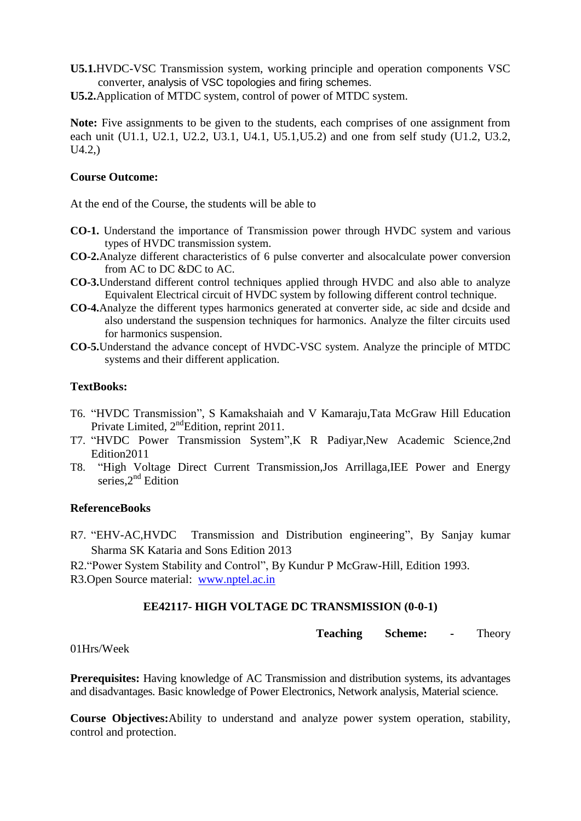**U5.1.**HVDC-VSC Transmission system, working principle and operation components VSC converter, analysis of VSC topologies and firing schemes.

**U5.2.**Application of MTDC system, control of power of MTDC system.

**Note:** Five assignments to be given to the students, each comprises of one assignment from each unit (U1.1, U2.1, U2.2, U3.1, U4.1, U5.1,U5.2) and one from self study (U1.2, U3.2, U4.2,)

## **Course Outcome:**

At the end of the Course, the students will be able to

- **CO-1.** Understand the importance of Transmission power through HVDC system and various types of HVDC transmission system.
- **CO-2.**Analyze different characteristics of 6 pulse converter and alsocalculate power conversion from AC to DC &DC to AC.
- **CO-3.**Understand different control techniques applied through HVDC and also able to analyze Equivalent Electrical circuit of HVDC system by following different control technique.
- **CO-4.**Analyze the different types harmonics generated at converter side, ac side and dcside and also understand the suspension techniques for harmonics. Analyze the filter circuits used for harmonics suspension.
- **CO-5.**Understand the advance concept of HVDC-VSC system. Analyze the principle of MTDC systems and their different application.

## **TextBooks:**

- T6. "HVDC Transmission", S Kamakshaiah and V Kamaraju,Tata McGraw Hill Education Private Limited, 2<sup>nd</sup>Edition, reprint 2011.
- T7. "HVDC Power Transmission System",K R Padiyar,New Academic Science,2nd Edition2011
- T8. "High Voltage Direct Current Transmission,Jos Arrillaga,IEE Power and Energy series, $2^{nd}$  Edition

## **ReferenceBooks**

- R7. "EHV-AC,HVDC Transmission and Distribution engineering", By Sanjay kumar Sharma SK Kataria and Sons Edition 2013
- R2."Power System Stability and Control", By Kundur P McGraw-Hill, Edition 1993.
- R3.Open Source material: [www.nptel.ac.in](http://www.nptel.ac.in/)

## **EE42117- HIGH VOLTAGE DC TRANSMISSION (0-0-1)**

**Teaching Scheme: -** Theory

01Hrs/Week

**Prerequisites:** Having knowledge of AC Transmission and distribution systems, its advantages and disadvantages. Basic knowledge of Power Electronics, Network analysis, Material science.

**Course Objectives:**Ability to understand and analyze power system operation, stability, control and protection.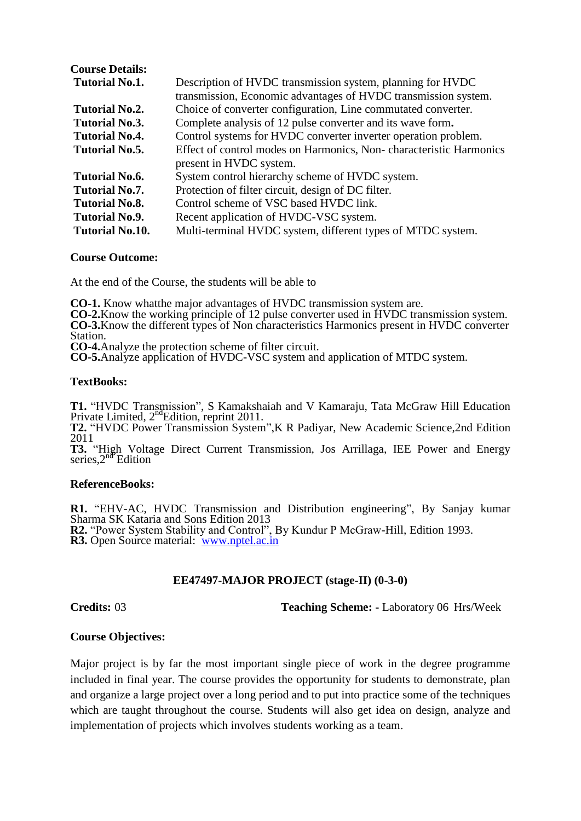| <b>Course Details:</b> |                                                                    |
|------------------------|--------------------------------------------------------------------|
| <b>Tutorial No.1.</b>  | Description of HVDC transmission system, planning for HVDC         |
|                        | transmission, Economic advantages of HVDC transmission system.     |
| <b>Tutorial No.2.</b>  | Choice of converter configuration, Line commutated converter.      |
| Tutorial No.3.         | Complete analysis of 12 pulse converter and its wave form.         |
| Tutorial No.4.         | Control systems for HVDC converter inverter operation problem.     |
| Tutorial No.5.         | Effect of control modes on Harmonics, Non-characteristic Harmonics |
|                        | present in HVDC system.                                            |
| <b>Tutorial No.6.</b>  | System control hierarchy scheme of HVDC system.                    |
| Tutorial No.7.         | Protection of filter circuit, design of DC filter.                 |
| <b>Tutorial No.8.</b>  | Control scheme of VSC based HVDC link.                             |
| <b>Tutorial No.9.</b>  | Recent application of HVDC-VSC system.                             |
| <b>Tutorial No.10.</b> | Multi-terminal HVDC system, different types of MTDC system.        |

### **Course Outcome:**

At the end of the Course, the students will be able to

**CO-1.** Know whatthe major advantages of HVDC transmission system are. **CO-2.**Know the working principle of 12 pulse converter used in HVDC transmission system.

**CO-3.**Know the different types of Non characteristics Harmonics present in HVDC converter Station.

**CO-4.**Analyze the protection scheme of filter circuit.

**CO-5.**Analyze application of HVDC-VSC system and application of MTDC system.

### **TextBooks:**

**T1.** "HVDC Transmission", S Kamakshaiah and V Kamaraju, Tata McGraw Hill Education Private Limited, 2<sup>nd</sup>Edition, reprint 2011.

**T2.** "HVDC Power Transmission System",K R Padiyar, New Academic Science,2nd Edition 2011

**T3.** "High Voltage Direct Current Transmission, Jos Arrillaga, IEE Power and Energy series, $2^{n\theta}$ Edition

### **ReferenceBooks:**

**R1.** "EHV-AC, HVDC Transmission and Distribution engineering", By Sanjay kumar Sharma SK Kataria and Sons Edition 2013 **R2.** "Power System Stability and Control", By Kundur P McGraw-Hill, Edition 1993. **R3.** Open Source material: [www.nptel.ac.in](http://www.nptel.ac.in/)

### **EE47497-MAJOR PROJECT (stage-II) (0-3-0)**

**Credits:** 03 **Teaching Scheme: -** Laboratory 06 Hrs/Week

### **Course Objectives:**

Major project is by far the most important single piece of work in the degree programme included in final year. The course provides the opportunity for students to demonstrate, plan and organize a large project over a long period and to put into practice some of the techniques which are taught throughout the course. Students will also get idea on design, analyze and implementation of projects which involves students working as a team.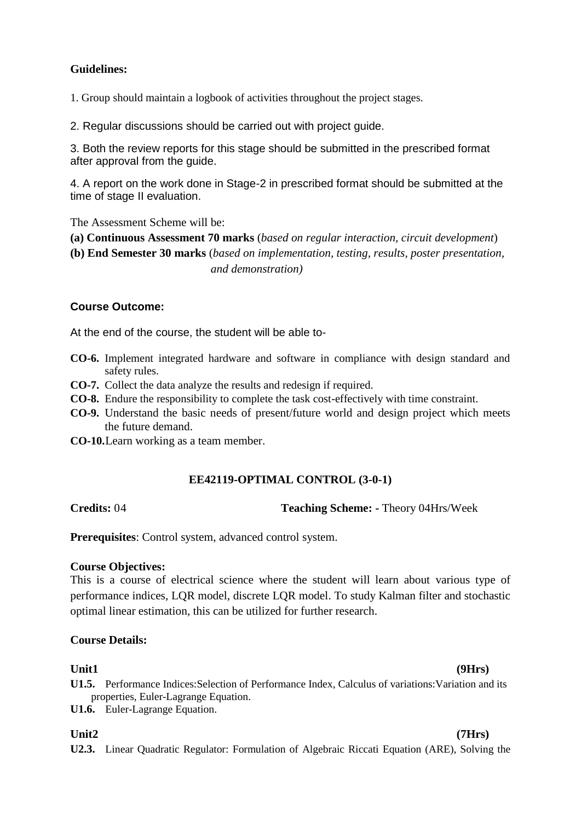## **Guidelines:**

1. Group should maintain a logbook of activities throughout the project stages.

2. Regular discussions should be carried out with project guide.

3. Both the review reports for this stage should be submitted in the prescribed format after approval from the guide.

4. A report on the work done in Stage-2 in prescribed format should be submitted at the time of stage II evaluation.

The Assessment Scheme will be:

**(a) Continuous Assessment 70 marks** (*based on regular interaction, circuit development*)

**(b) End Semester 30 marks** (*based on implementation, testing, results, poster presentation, and demonstration)*

## **Course Outcome:**

At the end of the course, the student will be able to-

- **CO-6.** Implement integrated hardware and software in compliance with design standard and safety rules.
- **CO-7.** Collect the data analyze the results and redesign if required.
- **CO-8.** Endure the responsibility to complete the task cost-effectively with time constraint.
- **CO-9.** Understand the basic needs of present/future world and design project which meets the future demand.
- **CO-10.**Learn working as a team member.

## **EE42119-OPTIMAL CONTROL (3-0-1)**

**Credits:** 04 **Teaching Scheme: -** Theory 04Hrs/Week

**Prerequisites**: Control system, advanced control system.

## **Course Objectives:**

This is a course of electrical science where the student will learn about various type of performance indices, LQR model, discrete LQR model. To study Kalman filter and stochastic optimal linear estimation, this can be utilized for further research.

## **Course Details:**

## **Unit1 (9Hrs)**

- **U1.5.** Performance Indices: Selection of Performance Index, Calculus of variations: Variation and its properties, Euler-Lagrange Equation.
- **U1.6.** Euler-Lagrange Equation.

## **Unit2 (7Hrs)**

**U2.3.** Linear Quadratic Regulator: Formulation of Algebraic Riccati Equation (ARE), Solving the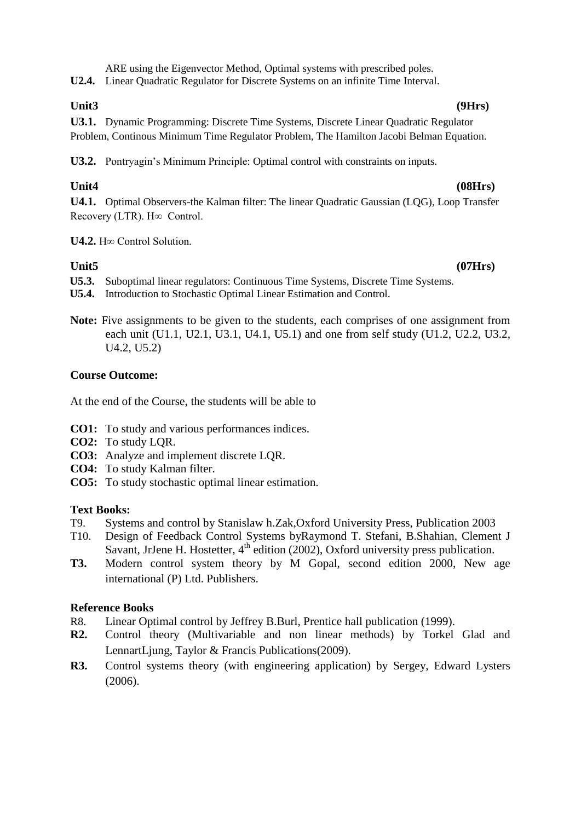ARE using the Eigenvector Method, Optimal systems with prescribed poles.

**U2.4.** Linear Quadratic Regulator for Discrete Systems on an infinite Time Interval.

**U3.1.** Dynamic Programming: Discrete Time Systems, Discrete Linear Quadratic Regulator Problem, Continous Minimum Time Regulator Problem, The Hamilton Jacobi Belman Equation.

**U3.2.** Pontryagin"s Minimum Principle: Optimal control with constraints on inputs.

# **Unit4 (08Hrs)**

**U4.1.** Optimal Observers-the Kalman filter: The linear Quadratic Gaussian (LQG), Loop Transfer Recovery (LTR). H∞ Control.

**U4.2.** H∞ Control Solution.

- **U5.3.** Suboptimal linear regulators: Continuous Time Systems, Discrete Time Systems.
- **U5.4.** Introduction to Stochastic Optimal Linear Estimation and Control.
- **Note:** Five assignments to be given to the students, each comprises of one assignment from each unit (U1.1, U2.1, U3.1, U4.1, U5.1) and one from self study (U1.2, U2.2, U3.2, U4.2, U5.2)

## **Course Outcome:**

At the end of the Course, the students will be able to

- **CO1:** To study and various performances indices.
- **CO2:** To study LQR.
- **CO3:** Analyze and implement discrete LQR.
- **CO4:** To study Kalman filter.
- **CO5:** To study stochastic optimal linear estimation.

## **Text Books:**

- T9. Systems and control by Stanislaw h.Zak,Oxford University Press, Publication 2003
- T10. Design of Feedback Control Systems byRaymond T. Stefani, B.Shahian, Clement J Savant, JrJene H. Hostetter,  $4<sup>th</sup>$  edition (2002), Oxford university press publication.
- **T3.** Modern control system theory by M Gopal, second edition 2000, New age international (P) Ltd. Publishers.

## **Reference Books**

- R8. Linear Optimal control by Jeffrey B.Burl, Prentice hall publication (1999).
- **R2.** Control theory (Multivariable and non linear methods) by Torkel Glad and LennartLjung, Taylor & Francis Publications(2009).
- **R3.** Control systems theory (with engineering application) by Sergey, Edward Lysters (2006).

### **Unit3 (9Hrs)**

**Unit5 (07Hrs)**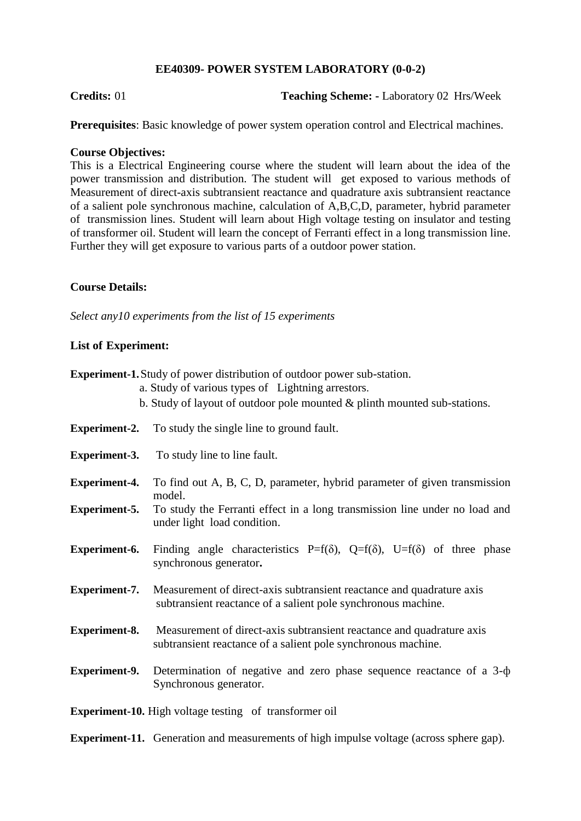## **EE40309- POWER SYSTEM LABORATORY (0-0-2)**

**Credits:** 01 **Teaching Scheme: -** Laboratory 02 Hrs/Week

**Prerequisites**: Basic knowledge of power system operation control and Electrical machines.

## **Course Objectives:**

This is a Electrical Engineering course where the student will learn about the idea of the power transmission and distribution. The student will get exposed to various methods of Measurement of direct-axis subtransient reactance and quadrature axis subtransient reactance of a salient pole synchronous machine, calculation of A,B,C,D, parameter, hybrid parameter of transmission lines. Student will learn about High voltage testing on insulator and testing of transformer oil. Student will learn the concept of Ferranti effect in a long transmission line. Further they will get exposure to various parts of a outdoor power station.

## **Course Details:**

*Select any10 experiments from the list of 15 experiments*

## **List of Experiment:**

|                      | <b>Experiment-1.</b> Study of power distribution of outdoor power sub-station.<br>a. Study of various types of Lightning arrestors.<br>b. Study of layout of outdoor pole mounted $&$ plinth mounted sub-stations. |
|----------------------|--------------------------------------------------------------------------------------------------------------------------------------------------------------------------------------------------------------------|
|                      | <b>Experiment-2.</b> To study the single line to ground fault.                                                                                                                                                     |
| <b>Experiment-3.</b> | To study line to line fault.                                                                                                                                                                                       |
| <b>Experiment-4.</b> | To find out A, B, C, D, parameter, hybrid parameter of given transmission<br>model.                                                                                                                                |
| <b>Experiment-5.</b> | To study the Ferranti effect in a long transmission line under no load and<br>under light load condition.                                                                                                          |
| <b>Experiment-6.</b> | Finding angle characteristics P=f( $\delta$ ), Q=f( $\delta$ ), U=f( $\delta$ ) of three phase<br>synchronous generator.                                                                                           |
| <b>Experiment-7.</b> | Measurement of direct-axis subtransient reactance and quadrature axis<br>subtransient reactance of a salient pole synchronous machine.                                                                             |
| <b>Experiment-8.</b> | Measurement of direct-axis subtransient reactance and quadrature axis<br>subtransient reactance of a salient pole synchronous machine.                                                                             |
| <b>Experiment-9.</b> | Determination of negative and zero phase sequence reactance of a $3-\phi$<br>Synchronous generator.                                                                                                                |
|                      | <b>Experiment-10.</b> High voltage testing of transformer oil                                                                                                                                                      |

**Experiment-11.** Generation and measurements of high impulse voltage (across sphere gap).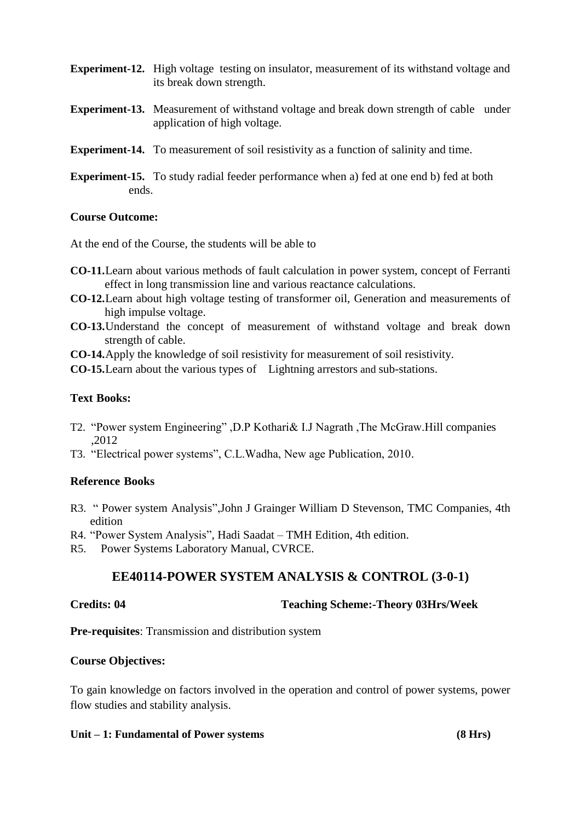- **Experiment-12.** High voltage testing on insulator, measurement of its withstand voltage and its break down strength.
- **Experiment-13.** Measurement of withstand voltage and break down strength of cable under application of high voltage.
- **Experiment-14.** To measurement of soil resistivity as a function of salinity and time.
- **Experiment-15.** To study radial feeder performance when a) fed at one end b) fed at both ends.

## **Course Outcome:**

At the end of the Course, the students will be able to

- **CO-11.**Learn about various methods of fault calculation in power system, concept of Ferranti effect in long transmission line and various reactance calculations.
- **CO-12.**Learn about high voltage testing of transformer oil, Generation and measurements of high impulse voltage.
- **CO-13.**Understand the concept of measurement of withstand voltage and break down strength of cable.
- **CO-14.**Apply the knowledge of soil resistivity for measurement of soil resistivity.
- **CO-15.**Learn about the various types of Lightning arrestors and sub-stations.

## **Text Books:**

- T2. "Power system Engineering" ,D.P Kothari& I.J Nagrath ,The McGraw.Hill companies ,2012
- T3. "Electrical power systems", C.L.Wadha, New age Publication, 2010.

## **Reference Books**

- R3. " Power system Analysis",John J Grainger William D Stevenson, TMC Companies, 4th edition
- R4. "Power System Analysis", Hadi Saadat TMH Edition, 4th edition.
- R5. Power Systems Laboratory Manual, CVRCE.

# **EE40114-POWER SYSTEM ANALYSIS & CONTROL (3-0-1)**

## **Credits: 04 Teaching Scheme:-Theory 03Hrs/Week**

**Pre-requisites**: Transmission and distribution system

## **Course Objectives:**

To gain knowledge on factors involved in the operation and control of power systems, power flow studies and stability analysis.

## **Unit – 1: Fundamental of Power systems (8 Hrs)**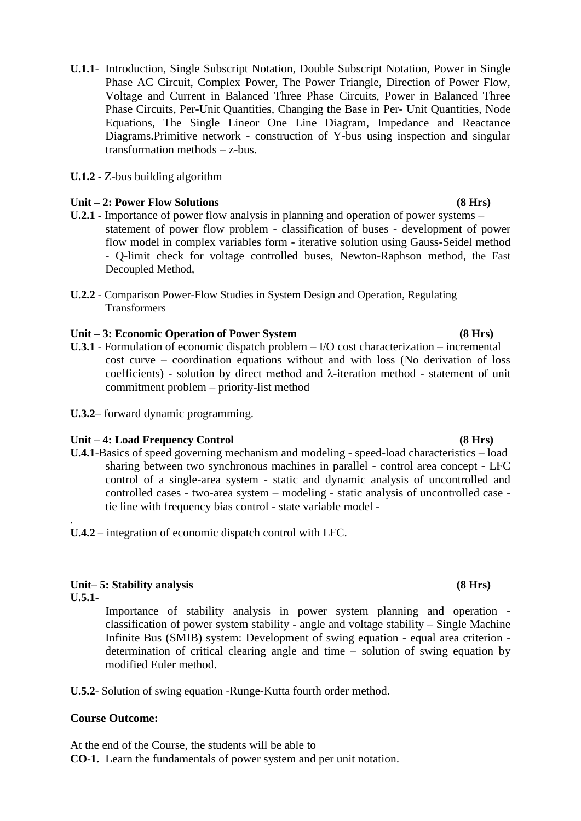- **U.1.1** Introduction, Single Subscript Notation, Double Subscript Notation, Power in Single Phase AC Circuit, Complex Power, The Power Triangle, Direction of Power Flow, Voltage and Current in Balanced Three Phase Circuits, Power in Balanced Three Phase Circuits, Per-Unit Quantities, Changing the Base in Per- Unit Quantities, Node Equations, The Single Lineor One Line Diagram, Impedance and Reactance Diagrams.Primitive network - construction of Y-bus using inspection and singular transformation methods – z-bus.
- **U.1.2** Z-bus building algorithm

## **Unit – 2: Power Flow Solutions (8 Hrs)**

- **U.2.1** Importance of power flow analysis in planning and operation of power systems statement of power flow problem - classification of buses - development of power flow model in complex variables form - iterative solution using Gauss-Seidel method - Q-limit check for voltage controlled buses, Newton-Raphson method, the Fast Decoupled Method,
- **U.2.2** Comparison Power-Flow Studies in System Design and Operation, Regulating **Transformers**

## **Unit – 3: Economic Operation of Power System (8 Hrs)**

- **U.3.1** Formulation of economic dispatch problem I/O cost characterization incremental cost curve – coordination equations without and with loss (No derivation of loss coefficients) - solution by direct method and λ-iteration method - statement of unit commitment problem – priority-list method
- **U.3.2** forward dynamic programming.

### **Unit – 4: Load Frequency Control (8 Hrs)**

- **U.4.1**-Basics of speed governing mechanism and modeling speed-load characteristics load sharing between two synchronous machines in parallel - control area concept - LFC control of a single-area system - static and dynamic analysis of uncontrolled and controlled cases - two-area system – modeling - static analysis of uncontrolled case tie line with frequency bias control - state variable model -
- **U.4.2** integration of economic dispatch control with LFC.

## **Unit– 5: Stability analysis (8 Hrs)**

**U.5.1**-

.

Importance of stability analysis in power system planning and operation classification of power system stability - angle and voltage stability – Single Machine Infinite Bus (SMIB) system: Development of swing equation - equal area criterion determination of critical clearing angle and time – solution of swing equation by modified Euler method.

**U.5.2**- Solution of swing equation -Runge-Kutta fourth order method.

### **Course Outcome:**

At the end of the Course, the students will be able to **CO-1.** Learn the fundamentals of power system and per unit notation.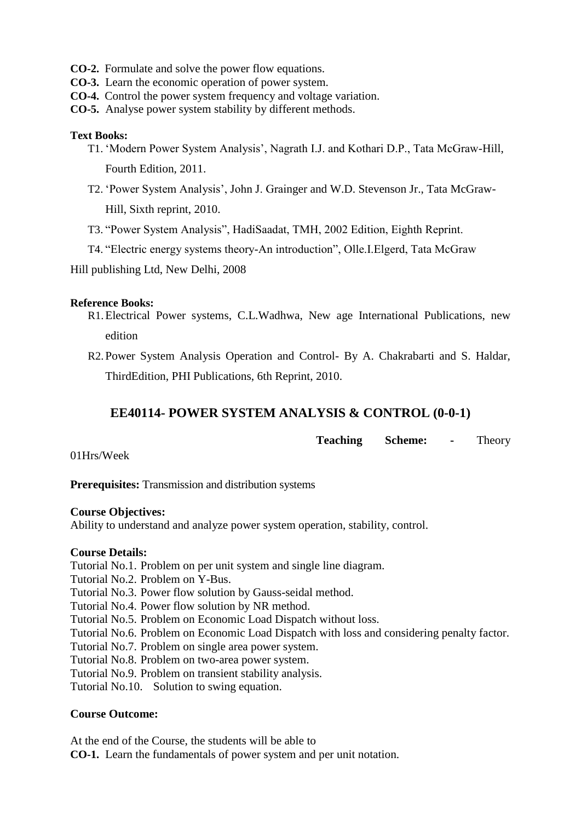- **CO-2.** Formulate and solve the power flow equations.
- **CO-3.** Learn the economic operation of power system.
- **CO-4.** Control the power system frequency and voltage variation.
- **CO-5.** Analyse power system stability by different methods.

## **Text Books:**

- T1. "Modern Power System Analysis", Nagrath I.J. and Kothari D.P., Tata McGraw-Hill, Fourth Edition, 2011.
- T2. "Power System Analysis", John J. Grainger and W.D. Stevenson Jr., Tata McGraw-Hill, Sixth reprint, 2010.
- T3. "Power System Analysis", HadiSaadat, TMH, 2002 Edition, Eighth Reprint.
- T4. "Electric energy systems theory-An introduction", Olle.I.Elgerd, Tata McGraw

Hill publishing Ltd, New Delhi, 2008

## **Reference Books:**

- R1.Electrical Power systems, C.L.Wadhwa, New age International Publications, new edition
- R2. Power System Analysis Operation and Control- By A. Chakrabarti and S. Haldar, ThirdEdition, PHI Publications, 6th Reprint, 2010.

# **EE40114- POWER SYSTEM ANALYSIS & CONTROL (0-0-1)**

**Teaching Scheme: -** Theory

01Hrs/Week

**Prerequisites:** Transmission and distribution systems

## **Course Objectives:**

Ability to understand and analyze power system operation, stability, control.

## **Course Details:**

- Tutorial No.1. Problem on per unit system and single line diagram.
- Tutorial No.2. Problem on Y-Bus.
- Tutorial No.3. Power flow solution by Gauss-seidal method.
- Tutorial No.4. Power flow solution by NR method.
- Tutorial No.5. Problem on Economic Load Dispatch without loss.
- Tutorial No.6. Problem on Economic Load Dispatch with loss and considering penalty factor.
- Tutorial No.7. Problem on single area power system.
- Tutorial No.8. Problem on two-area power system.
- Tutorial No.9. Problem on transient stability analysis.

Tutorial No.10. Solution to swing equation.

## **Course Outcome:**

At the end of the Course, the students will be able to

**CO-1.** Learn the fundamentals of power system and per unit notation.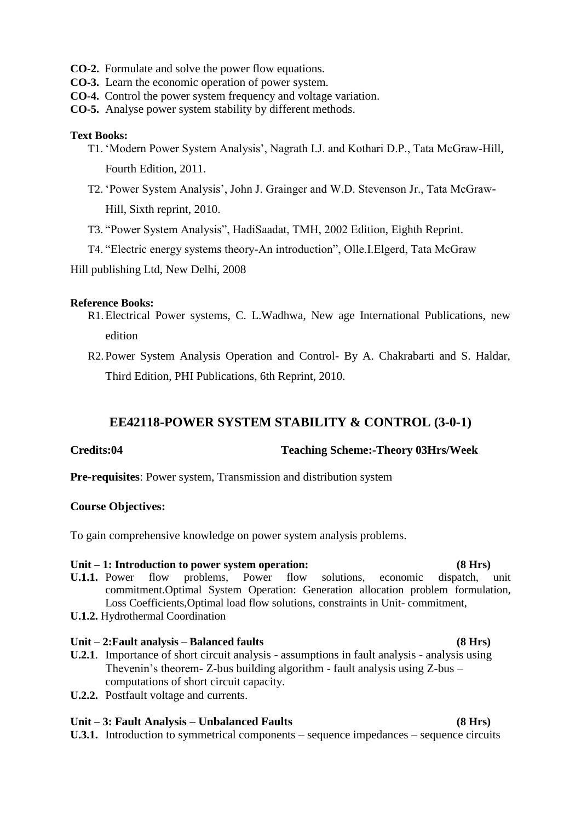- **CO-2.** Formulate and solve the power flow equations.
- **CO-3.** Learn the economic operation of power system.
- **CO-4.** Control the power system frequency and voltage variation.
- **CO-5.** Analyse power system stability by different methods.

## **Text Books:**

- T1. "Modern Power System Analysis", Nagrath I.J. and Kothari D.P., Tata McGraw-Hill, Fourth Edition, 2011.
- T2. "Power System Analysis", John J. Grainger and W.D. Stevenson Jr., Tata McGraw-Hill, Sixth reprint, 2010.
- T3. "Power System Analysis", HadiSaadat, TMH, 2002 Edition, Eighth Reprint.
- T4. "Electric energy systems theory-An introduction", Olle.I.Elgerd, Tata McGraw

Hill publishing Ltd, New Delhi, 2008

### **Reference Books:**

- R1.Electrical Power systems, C. L.Wadhwa, New age International Publications, new edition
- R2. Power System Analysis Operation and Control- By A. Chakrabarti and S. Haldar, Third Edition, PHI Publications, 6th Reprint, 2010.

## **EE42118-POWER SYSTEM STABILITY & CONTROL (3-0-1)**

**Credits:04 Teaching Scheme:-Theory 03Hrs/Week**

**Pre-requisites**: Power system, Transmission and distribution system

## **Course Objectives:**

To gain comprehensive knowledge on power system analysis problems.

## **Unit – 1: Introduction to power system operation: (8 Hrs) U.1.1.** Power flow problems, Power flow solutions, economic dispatch, unit commitment.Optimal System Operation: Generation allocation problem formulation, Loss Coefficients,Optimal load flow solutions, constraints in Unit- commitment,

**U.1.2.** Hydrothermal Coordination

## **Unit – 2:Fault analysis – Balanced faults (8 Hrs)**

- **U.2.1**. Importance of short circuit analysis assumptions in fault analysis analysis using Thevenin's theorem- Z-bus building algorithm - fault analysis using  $Z$ -bus  $$ computations of short circuit capacity.
- **U.2.2.** Postfault voltage and currents.

## **Unit – 3: Fault Analysis – Unbalanced Faults (8 Hrs)**

**U.3.1.** Introduction to symmetrical components – sequence impedances – sequence circuits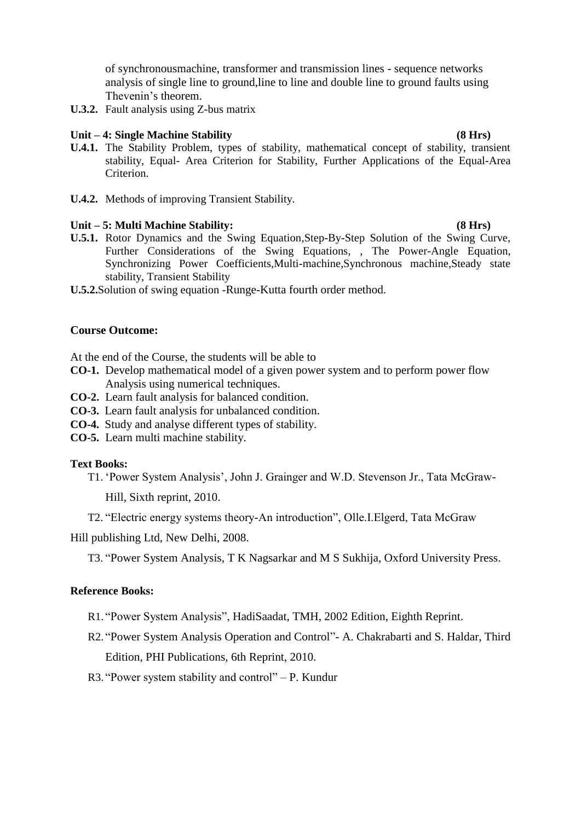of synchronousmachine, transformer and transmission lines - sequence networks analysis of single line to ground,line to line and double line to ground faults using Thevenin"s theorem.

**U.3.2.** Fault analysis using Z-bus matrix

## **Unit – 4: Single Machine Stability (8 Hrs)**

- **U.4.1.** The Stability Problem, types of stability, mathematical concept of stability, transient stability, Equal- Area Criterion for Stability, Further Applications of the Equal-Area Criterion.
- **U.4.2.** Methods of improving Transient Stability.

### **Unit – 5: Multi Machine Stability: (8 Hrs)**

- **U.5.1.** Rotor Dynamics and the Swing Equation,Step-By-Step Solution of the Swing Curve, Further Considerations of the Swing Equations, , The Power-Angle Equation, Synchronizing Power Coefficients,Multi-machine,Synchronous machine,Steady state stability, Transient Stability
- **U.5.2.**Solution of swing equation -Runge-Kutta fourth order method.

## **Course Outcome:**

At the end of the Course, the students will be able to

- **CO-1.** Develop mathematical model of a given power system and to perform power flow Analysis using numerical techniques.
- **CO-2.** Learn fault analysis for balanced condition.
- **CO-3.** Learn fault analysis for unbalanced condition.
- **CO-4.** Study and analyse different types of stability.
- **CO-5.** Learn multi machine stability.

## **Text Books:**

- T1. "Power System Analysis", John J. Grainger and W.D. Stevenson Jr., Tata McGraw-Hill, Sixth reprint, 2010.
- T2. "Electric energy systems theory-An introduction", Olle.I.Elgerd, Tata McGraw

Hill publishing Ltd, New Delhi, 2008.

T3. "Power System Analysis, T K Nagsarkar and M S Sukhija, Oxford University Press.

### **Reference Books:**

- R1. "Power System Analysis", HadiSaadat, TMH, 2002 Edition, Eighth Reprint.
- R2. "Power System Analysis Operation and Control"- A. Chakrabarti and S. Haldar, Third Edition, PHI Publications, 6th Reprint, 2010.
- R3. "Power system stability and control" P. Kundur